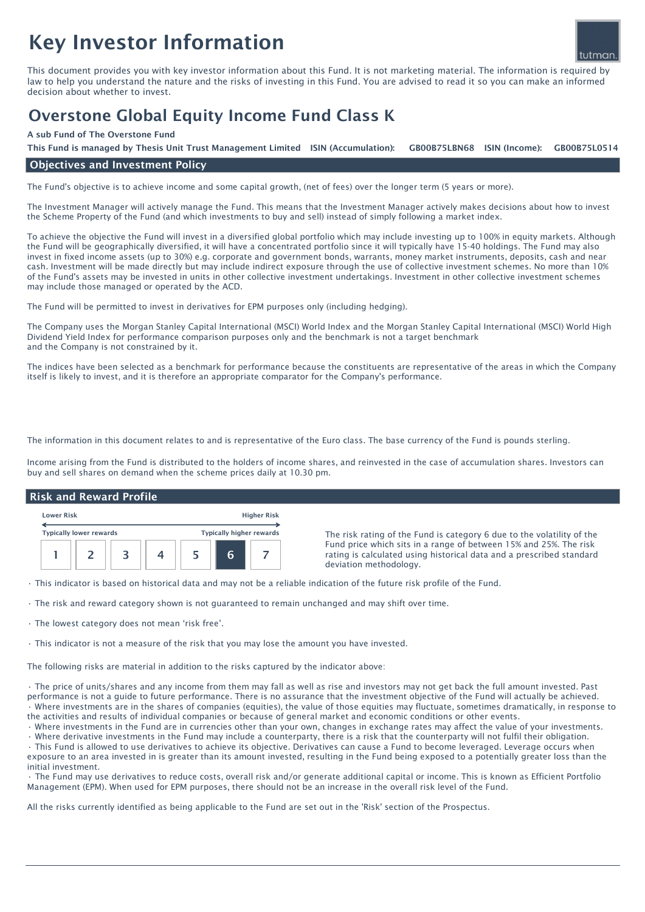# Key Investor Information



This document provides you with key investor information about this Fund. It is not marketing material. The information is required by law to help you understand the nature and the risks of investing in this Fund. You are advised to read it so you can make an informed decision about whether to invest.

# Overstone Global Equity Income Fund Class K

### A sub Fund of The Overstone Fund

GB00B75LBN68 ISIN (Income): This Fund is managed by Thesis Unit Trust Management Limited ISIN (Accumulation): GB00B75LBN68 ISIN (Income): GB00B75L0514

# Objectives and Investment Policy

The Fund's objective is to achieve income and some capital growth, (net of fees) over the longer term (5 years or more).

The Investment Manager will actively manage the Fund. This means that the Investment Manager actively makes decisions about how to invest the Scheme Property of the Fund (and which investments to buy and sell) instead of simply following a market index.

To achieve the objective the Fund will invest in a diversified global portfolio which may include investing up to 100% in equity markets. Although the Fund will be geographically diversified, it will have a concentrated portfolio since it will typically have 15-40 holdings. The Fund may also invest in fixed income assets (up to 30%) e.g. corporate and government bonds, warrants, money market instruments, deposits, cash and near cash. Investment will be made directly but may include indirect exposure through the use of collective investment schemes. No more than 10% of the Fund's assets may be invested in units in other collective investment undertakings. Investment in other collective investment schemes may include those managed or operated by the ACD.

The Fund will be permitted to invest in derivatives for EPM purposes only (including hedging).

The Company uses the Morgan Stanley Capital International (MSCI) World Index and the Morgan Stanley Capital International (MSCI) World High Dividend Yield Index for performance comparison purposes only and the benchmark is not a target benchmark and the Company is not constrained by it.

The indices have been selected as a benchmark for performance because the constituents are representative of the areas in which the Company itself is likely to invest, and it is therefore an appropriate comparator for the Company's performance.

The information in this document relates to and is representative of the Euro class. The base currency of the Fund is pounds sterling.

Income arising from the Fund is distributed to the holders of income shares, and reinvested in the case of accumulation shares. Investors can buy and sell shares on demand when the scheme prices daily at 10.30 pm.

#### Lower Risk Higher Risk Typically lower rewards Typically higher rewards 1 | 2 | 3 | 4 | 5 | 6 | 7 Risk and Reward Profile The risk rating of the Fund is category 6 due to the volatility of the Fund price which sits in a range of between 15% and 25%. The risk rating is calculated using historical data and a prescribed standard deviation methodology.

• This indicator is based on historical data and may not be a reliable indication of the future risk profile of the Fund.

• The risk and reward category shown is not guaranteed to remain unchanged and may shift over time.

• The lowest category does not mean 'risk free'.

• This indicator is not a measure of the risk that you may lose the amount you have invested.

The following risks are material in addition to the risks captured by the indicator above:

• The price of units/shares and any income from them may fall as well as rise and investors may not get back the full amount invested. Past performance is not a guide to future performance. There is no assurance that the investment objective of the Fund will actually be achieved. • Where investments are in the shares of companies (equities), the value of those equities may fluctuate, sometimes dramatically, in response to the activities and results of individual companies or because of general market and economic conditions or other events.

• Where investments in the Fund are in currencies other than your own, changes in exchange rates may affect the value of your investments.

• Where derivative investments in the Fund may include a counterparty, there is a risk that the counterparty will not fulfil their obligation. • This Fund is allowed to use derivatives to achieve its objective. Derivatives can cause a Fund to become leveraged. Leverage occurs when exposure to an area invested in is greater than its amount invested, resulting in the Fund being exposed to a potentially greater loss than the initial investment.

• The Fund may use derivatives to reduce costs, overall risk and/or generate additional capital or income. This is known as Efficient Portfolio Management (EPM). When used for EPM purposes, there should not be an increase in the overall risk level of the Fund.

All the risks currently identified as being applicable to the Fund are set out in the 'Risk' section of the Prospectus.